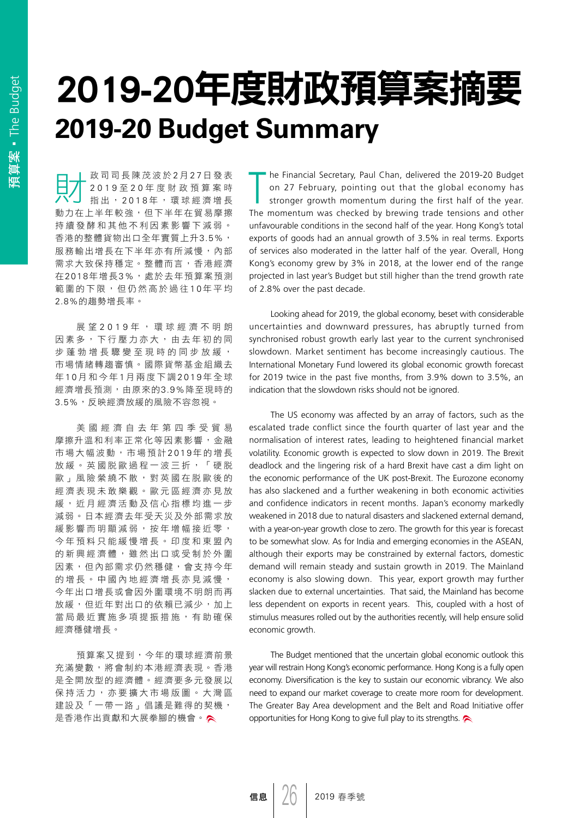## 2019-20年度財政預算案摘要 **2019-20 Budget Summary**

**□ | 政司司長陳茂波於2月27日發表**<br>□ 2019至20年度財政預算案時<br>ハノ 指出,2018年,環球經濟增長 2019 至 2 0 年度財政預算案時 指出, 2018年, 環球經濟增長 動力在上半年較強,但下半年在貿易摩擦 持續發酵和其他不利因素影響下減弱。 香港的整體貨物出口全年實質上升3.5%, 服務輸出增長在下半年亦有所減慢,內部 需求大致保持穩定。整體而言,香港經濟 在2018年增長3%,處於去年預算案預測 範圍的下限,但仍然高於過往10年平均 2.8%的趨勢增長率。

展 望 2 0 1 9 年, 環球經濟不明朗 因素多,下行壓力亦大,由去年初的同 步蓬勃增長驟變至現時的同步放緩, 市場情緒轉趨審慎。國際貨幣基金組織去 年 1 0 月 和今年 1 月兩度下調 2019 年全球 經濟增長預測,由原來的3.9%降至現時的 3.5%,反映經濟放緩的風險不容忽視。

美國經濟自去年第四季受貿易 摩擦升溫和利率正常化等因素影響,金融 市場大幅波動,市場預計 2019年的增長 放緩。英國脱歐過程一波三折,「硬脱 歐」風險縈繞不散,對英國在脱歐後的 經濟表現 未敢樂觀 。歐元區經濟亦見放 緩, 近月經濟活動及信心指標均進一步 減弱。日本經濟去年受天災及外部需求放 緩影響而明顯減弱,按年增幅接近零, 今 年 預料只能 緩慢增長。印度和東盟內 的新興經濟體,雖然出口或受制於外圍 因素,但內部需求仍然穩健,會支持今年 的 增 長 。中國內地經濟增長亦見減慢, 今年出口增長或會因外圍環境不明朗而再 放緩,但近年對出口的依賴已減少,加上 當局最近實施多項提振措施,有助確保 經濟穩健增長。

預算案又提到,今年的環球經濟前景 充滿變數,將會制約本港經濟表現。香港 是全開放型的經濟體。經濟要多元發展以 保持活力,亦要擴大市場版圖。大灣區 建設及「一帶一路」倡議是難得的契機, 是香港作出貢獻和大展拳腳的機會。

The Financial Secretary, Paul Chan, delivered the 2019-20 Budget<br>
on 27 February, pointing out that the global economy has<br>
stronger growth momentum during the first half of the year. on 27 February, pointing out that the global economy has The momentum was checked by brewing trade tensions and other unfavourable conditions in the second half of the year. Hong Kong's total exports of goods had an annual growth of 3.5% in real terms. Exports of services also moderated in the latter half of the year. Overall, Hong Kong's economy grew by 3% in 2018, at the lower end of the range projected in last year's Budget but still higher than the trend growth rate of 2.8% over the past decade.

Looking ahead for 2019, the global economy, beset with considerable uncertainties and downward pressures, has abruptly turned from synchronised robust growth early last year to the current synchronised slowdown. Market sentiment has become increasingly cautious. The International Monetary Fund lowered its global economic growth forecast for 2019 twice in the past five months, from 3.9% down to 3.5%, an indication that the slowdown risks should not be ignored.

The US economy was affected by an array of factors, such as the escalated trade conflict since the fourth quarter of last year and the normalisation of interest rates, leading to heightened financial market volatility. Economic growth is expected to slow down in 2019. The Brexit deadlock and the lingering risk of a hard Brexit have cast a dim light on the economic performance of the UK post-Brexit. The Eurozone economy has also slackened and a further weakening in both economic activities and confidence indicators in recent months. Japan's economy markedly weakened in 2018 due to natural disasters and slackened external demand, with a year-on-year growth close to zero. The growth for this year is forecast to be somewhat slow. As for India and emerging economies in the ASEAN, although their exports may be constrained by external factors, domestic demand will remain steady and sustain growth in 2019. The Mainland economy is also slowing down. This year, export growth may further slacken due to external uncertainties. That said, the Mainland has become less dependent on exports in recent years. This, coupled with a host of stimulus measures rolled out by the authorities recently, will help ensure solid economic growth.

The Budget mentioned that the uncertain global economic outlook this year will restrain Hong Kong's economic performance. Hong Kong is a fully open economy. Diversification is the key to sustain our economic vibrancy. We also need to expand our market coverage to create more room for development. The Greater Bay Area development and the Belt and Road Initiative offer opportunities for Hong Kong to give full play to its strengths.